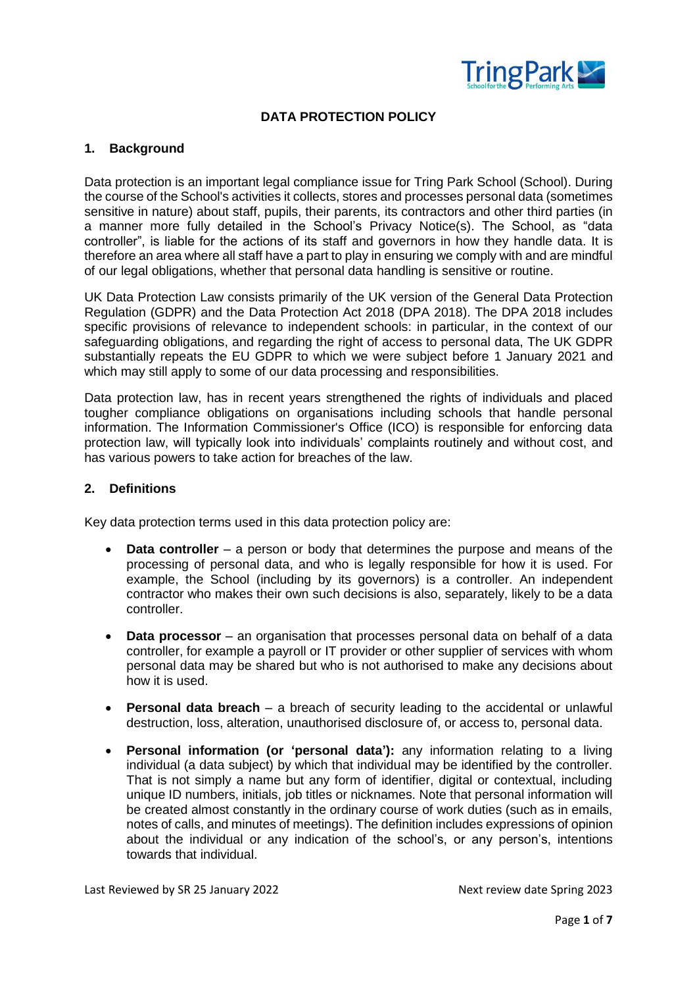

# **DATA PROTECTION POLICY**

## **1. Background**

Data protection is an important legal compliance issue for Tring Park School (School). During the course of the School's activities it collects, stores and processes personal data (sometimes sensitive in nature) about staff, pupils, their parents, its contractors and other third parties (in a manner more fully detailed in the School's Privacy Notice(s). The School, as "data controller", is liable for the actions of its staff and governors in how they handle data. It is therefore an area where all staff have a part to play in ensuring we comply with and are mindful of our legal obligations, whether that personal data handling is sensitive or routine.

UK Data Protection Law consists primarily of the UK version of the General Data Protection Regulation (GDPR) and the Data Protection Act 2018 (DPA 2018). The DPA 2018 includes specific provisions of relevance to independent schools: in particular, in the context of our safeguarding obligations, and regarding the right of access to personal data, The UK GDPR substantially repeats the EU GDPR to which we were subject before 1 January 2021 and which may still apply to some of our data processing and responsibilities.

Data protection law, has in recent years strengthened the rights of individuals and placed tougher compliance obligations on organisations including schools that handle personal information. The Information Commissioner's Office (ICO) is responsible for enforcing data protection law, will typically look into individuals' complaints routinely and without cost, and has various powers to take action for breaches of the law.

## **2. Definitions**

Key data protection terms used in this data protection policy are:

- **Data controller** a person or body that determines the purpose and means of the processing of personal data, and who is legally responsible for how it is used. For example, the School (including by its governors) is a controller. An independent contractor who makes their own such decisions is also, separately, likely to be a data controller.
- **Data processor**  an organisation that processes personal data on behalf of a data controller, for example a payroll or IT provider or other supplier of services with whom personal data may be shared but who is not authorised to make any decisions about how it is used.
- **Personal data breach**  a breach of security leading to the accidental or unlawful destruction, loss, alteration, unauthorised disclosure of, or access to, personal data.
- **Personal information (or 'personal data'):** any information relating to a living individual (a data subject) by which that individual may be identified by the controller. That is not simply a name but any form of identifier, digital or contextual, including unique ID numbers, initials, job titles or nicknames. Note that personal information will be created almost constantly in the ordinary course of work duties (such as in emails, notes of calls, and minutes of meetings). The definition includes expressions of opinion about the individual or any indication of the school's, or any person's, intentions towards that individual.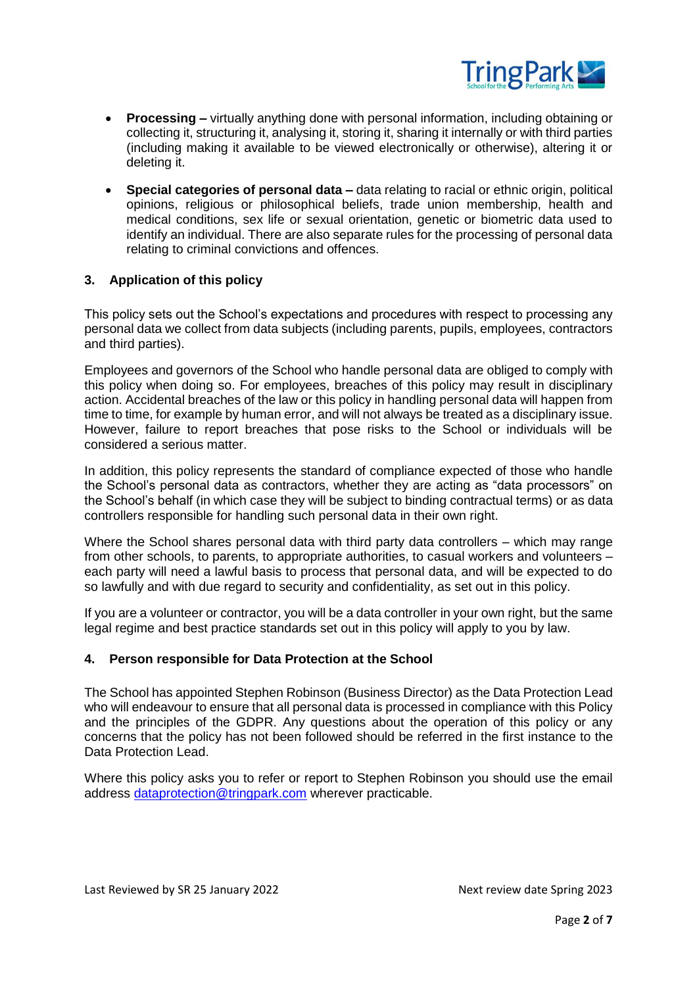

- **Processing –** virtually anything done with personal information, including obtaining or collecting it, structuring it, analysing it, storing it, sharing it internally or with third parties (including making it available to be viewed electronically or otherwise), altering it or deleting it.
- **Special categories of personal data –** data relating to racial or ethnic origin, political opinions, religious or philosophical beliefs, trade union membership, health and medical conditions, sex life or sexual orientation, genetic or biometric data used to identify an individual. There are also separate rules for the processing of personal data relating to criminal convictions and offences.

## **3. Application of this policy**

This policy sets out the School's expectations and procedures with respect to processing any personal data we collect from data subjects (including parents, pupils, employees, contractors and third parties).

Employees and governors of the School who handle personal data are obliged to comply with this policy when doing so. For employees, breaches of this policy may result in disciplinary action. Accidental breaches of the law or this policy in handling personal data will happen from time to time, for example by human error, and will not always be treated as a disciplinary issue. However, failure to report breaches that pose risks to the School or individuals will be considered a serious matter.

In addition, this policy represents the standard of compliance expected of those who handle the School's personal data as contractors, whether they are acting as "data processors" on the School's behalf (in which case they will be subject to binding contractual terms) or as data controllers responsible for handling such personal data in their own right.

Where the School shares personal data with third party data controllers – which may range from other schools, to parents, to appropriate authorities, to casual workers and volunteers – each party will need a lawful basis to process that personal data, and will be expected to do so lawfully and with due regard to security and confidentiality, as set out in this policy.

If you are a volunteer or contractor, you will be a data controller in your own right, but the same legal regime and best practice standards set out in this policy will apply to you by law.

## **4. Person responsible for Data Protection at the School**

The School has appointed Stephen Robinson (Business Director) as the Data Protection Lead who will endeavour to ensure that all personal data is processed in compliance with this Policy and the principles of the GDPR. Any questions about the operation of this policy or any concerns that the policy has not been followed should be referred in the first instance to the Data Protection Lead.

Where this policy asks you to refer or report to Stephen Robinson you should use the email address [dataprotection@tringpark.com](mailto:dataprotection@tringpark.com) wherever practicable.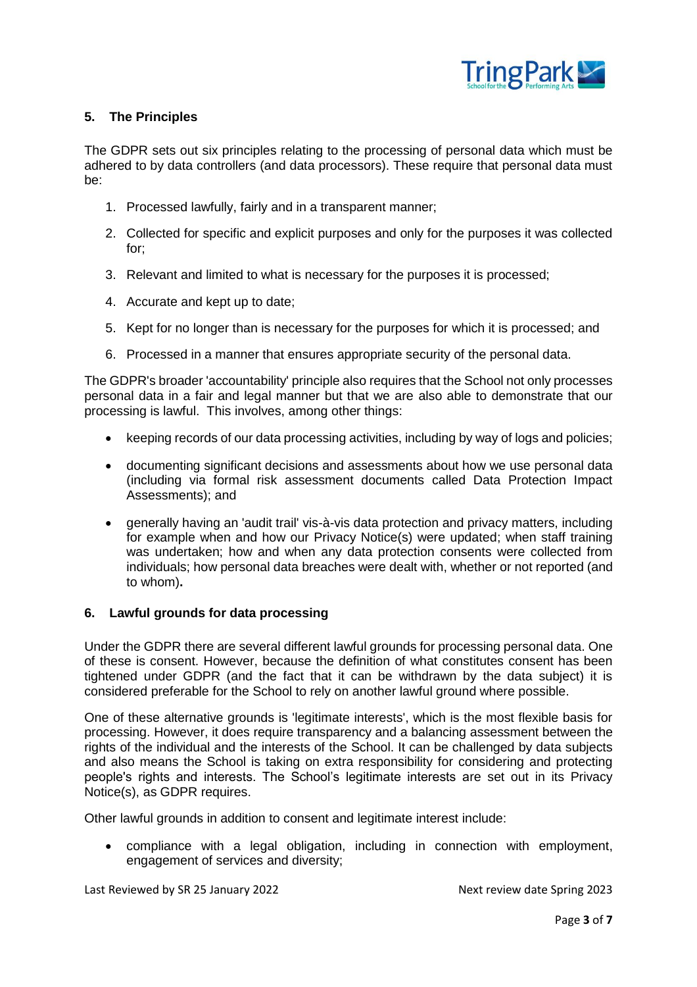

## **5. The Principles**

The GDPR sets out six principles relating to the processing of personal data which must be adhered to by data controllers (and data processors). These require that personal data must be:

- 1. Processed lawfully, fairly and in a transparent manner;
- 2. Collected for specific and explicit purposes and only for the purposes it was collected for;
- 3. Relevant and limited to what is necessary for the purposes it is processed;
- 4. Accurate and kept up to date;
- 5. Kept for no longer than is necessary for the purposes for which it is processed; and
- 6. Processed in a manner that ensures appropriate security of the personal data.

The GDPR's broader 'accountability' principle also requires that the School not only processes personal data in a fair and legal manner but that we are also able to demonstrate that our processing is lawful. This involves, among other things:

- keeping records of our data processing activities, including by way of logs and policies;
- documenting significant decisions and assessments about how we use personal data (including via formal risk assessment documents called Data Protection Impact Assessments); and
- generally having an 'audit trail' vis-à-vis data protection and privacy matters, including for example when and how our Privacy Notice(s) were updated; when staff training was undertaken; how and when any data protection consents were collected from individuals; how personal data breaches were dealt with, whether or not reported (and to whom)**.**

#### **6. Lawful grounds for data processing**

Under the GDPR there are several different lawful grounds for processing personal data. One of these is consent. However, because the definition of what constitutes consent has been tightened under GDPR (and the fact that it can be withdrawn by the data subject) it is considered preferable for the School to rely on another lawful ground where possible.

One of these alternative grounds is 'legitimate interests', which is the most flexible basis for processing. However, it does require transparency and a balancing assessment between the rights of the individual and the interests of the School. It can be challenged by data subjects and also means the School is taking on extra responsibility for considering and protecting people's rights and interests. The School's legitimate interests are set out in its Privacy Notice(s), as GDPR requires.

Other lawful grounds in addition to consent and legitimate interest include:

 compliance with a legal obligation, including in connection with employment, engagement of services and diversity;

Last Reviewed by SR 25 January 2022 **Next review date Spring 2023**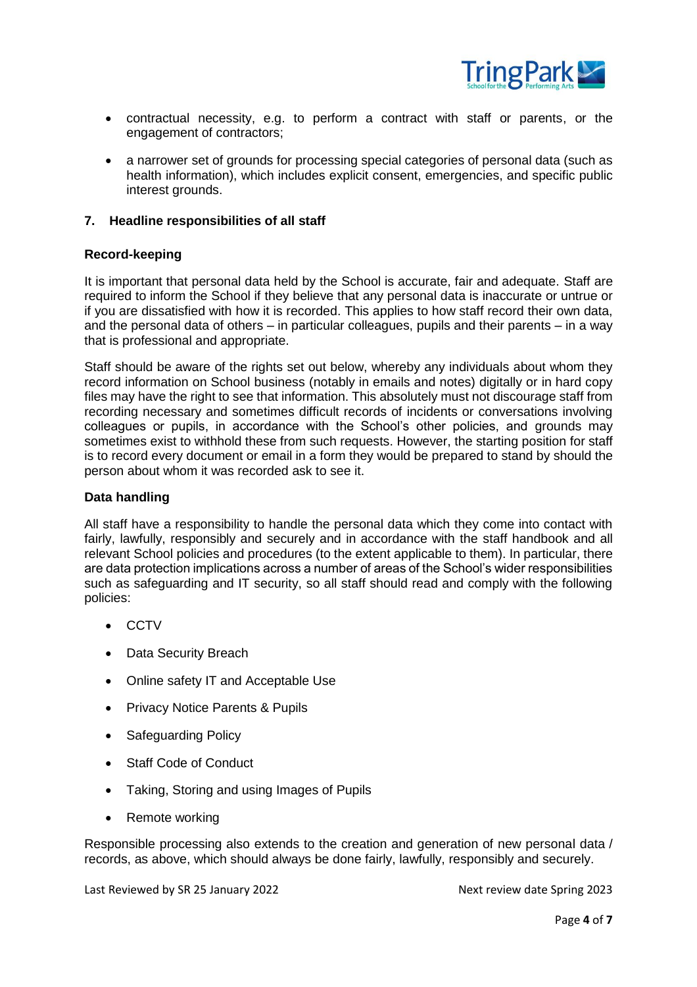

- contractual necessity, e.g. to perform a contract with staff or parents, or the engagement of contractors;
- a narrower set of grounds for processing special categories of personal data (such as health information), which includes explicit consent, emergencies, and specific public interest grounds.

## **7. Headline responsibilities of all staff**

## **Record-keeping**

It is important that personal data held by the School is accurate, fair and adequate. Staff are required to inform the School if they believe that any personal data is inaccurate or untrue or if you are dissatisfied with how it is recorded. This applies to how staff record their own data, and the personal data of others – in particular colleagues, pupils and their parents – in a way that is professional and appropriate.

Staff should be aware of the rights set out below, whereby any individuals about whom they record information on School business (notably in emails and notes) digitally or in hard copy files may have the right to see that information. This absolutely must not discourage staff from recording necessary and sometimes difficult records of incidents or conversations involving colleagues or pupils, in accordance with the School's other policies, and grounds may sometimes exist to withhold these from such requests. However, the starting position for staff is to record every document or email in a form they would be prepared to stand by should the person about whom it was recorded ask to see it.

#### **Data handling**

All staff have a responsibility to handle the personal data which they come into contact with fairly, lawfully, responsibly and securely and in accordance with the staff handbook and all relevant School policies and procedures (to the extent applicable to them). In particular, there are data protection implications across a number of areas of the School's wider responsibilities such as safeguarding and IT security, so all staff should read and comply with the following policies:

- CCTV
- Data Security Breach
- Online safety IT and Acceptable Use
- Privacy Notice Parents & Pupils
- Safeguarding Policy
- Staff Code of Conduct
- Taking, Storing and using Images of Pupils
- Remote working

Responsible processing also extends to the creation and generation of new personal data / records, as above, which should always be done fairly, lawfully, responsibly and securely.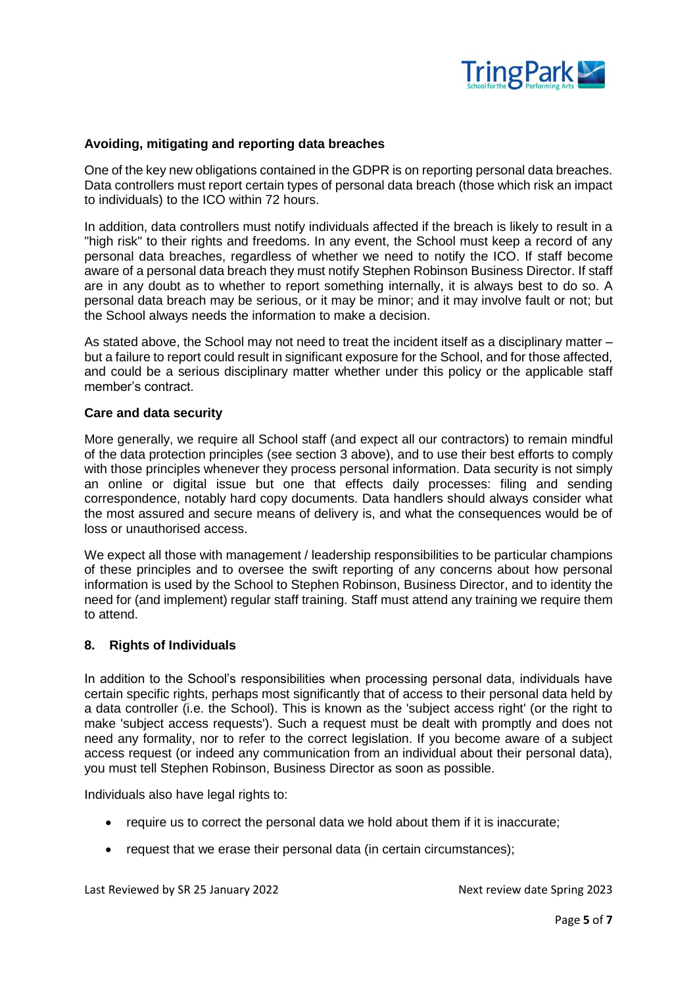

## **Avoiding, mitigating and reporting data breaches**

One of the key new obligations contained in the GDPR is on reporting personal data breaches. Data controllers must report certain types of personal data breach (those which risk an impact to individuals) to the ICO within 72 hours.

In addition, data controllers must notify individuals affected if the breach is likely to result in a "high risk" to their rights and freedoms. In any event, the School must keep a record of any personal data breaches, regardless of whether we need to notify the ICO. If staff become aware of a personal data breach they must notify Stephen Robinson Business Director. If staff are in any doubt as to whether to report something internally, it is always best to do so. A personal data breach may be serious, or it may be minor; and it may involve fault or not; but the School always needs the information to make a decision.

As stated above, the School may not need to treat the incident itself as a disciplinary matter – but a failure to report could result in significant exposure for the School, and for those affected, and could be a serious disciplinary matter whether under this policy or the applicable staff member's contract.

#### **Care and data security**

More generally, we require all School staff (and expect all our contractors) to remain mindful of the data protection principles (see section 3 above), and to use their best efforts to comply with those principles whenever they process personal information. Data security is not simply an online or digital issue but one that effects daily processes: filing and sending correspondence, notably hard copy documents. Data handlers should always consider what the most assured and secure means of delivery is, and what the consequences would be of loss or unauthorised access.

We expect all those with management / leadership responsibilities to be particular champions of these principles and to oversee the swift reporting of any concerns about how personal information is used by the School to Stephen Robinson, Business Director, and to identity the need for (and implement) regular staff training. Staff must attend any training we require them to attend.

#### **8. Rights of Individuals**

In addition to the School's responsibilities when processing personal data, individuals have certain specific rights, perhaps most significantly that of access to their personal data held by a data controller (i.e. the School). This is known as the 'subject access right' (or the right to make 'subject access requests'). Such a request must be dealt with promptly and does not need any formality, nor to refer to the correct legislation. If you become aware of a subject access request (or indeed any communication from an individual about their personal data), you must tell Stephen Robinson, Business Director as soon as possible.

Individuals also have legal rights to:

- require us to correct the personal data we hold about them if it is inaccurate;
- request that we erase their personal data (in certain circumstances);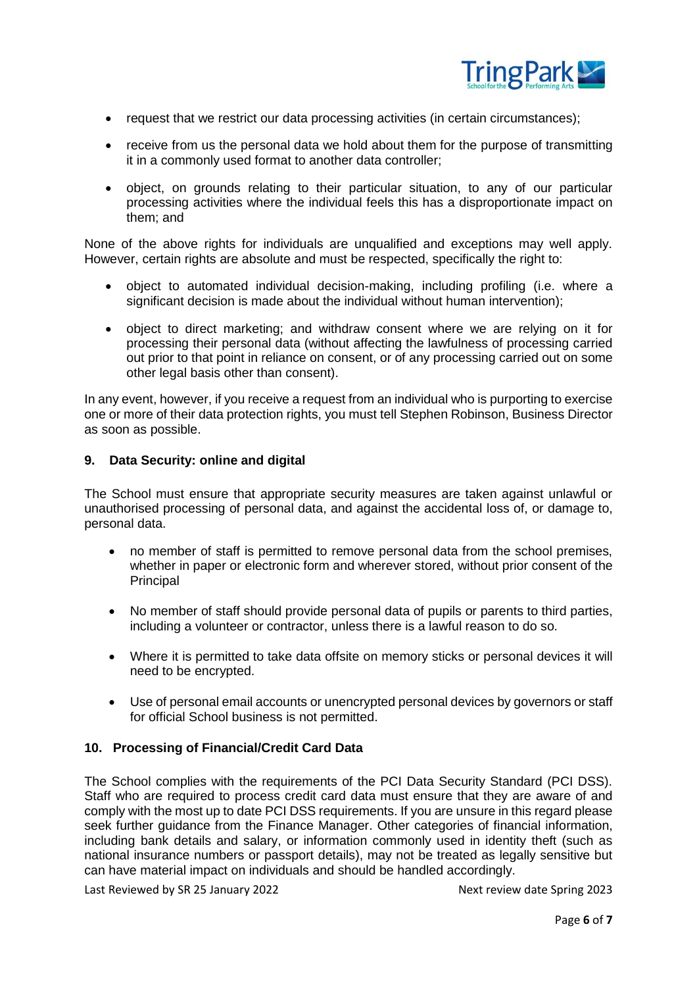

- request that we restrict our data processing activities (in certain circumstances);
- receive from us the personal data we hold about them for the purpose of transmitting it in a commonly used format to another data controller;
- object, on grounds relating to their particular situation, to any of our particular processing activities where the individual feels this has a disproportionate impact on them; and

None of the above rights for individuals are unqualified and exceptions may well apply. However, certain rights are absolute and must be respected, specifically the right to:

- object to automated individual decision-making, including profiling (i.e. where a significant decision is made about the individual without human intervention);
- object to direct marketing; and withdraw consent where we are relying on it for processing their personal data (without affecting the lawfulness of processing carried out prior to that point in reliance on consent, or of any processing carried out on some other legal basis other than consent).

In any event, however, if you receive a request from an individual who is purporting to exercise one or more of their data protection rights, you must tell Stephen Robinson, Business Director as soon as possible.

## **9. Data Security: online and digital**

The School must ensure that appropriate security measures are taken against unlawful or unauthorised processing of personal data, and against the accidental loss of, or damage to, personal data.

- no member of staff is permitted to remove personal data from the school premises, whether in paper or electronic form and wherever stored, without prior consent of the Principal
- No member of staff should provide personal data of pupils or parents to third parties, including a volunteer or contractor, unless there is a lawful reason to do so.
- Where it is permitted to take data offsite on memory sticks or personal devices it will need to be encrypted.
- Use of personal email accounts or unencrypted personal devices by governors or staff for official School business is not permitted.

#### **10. Processing of Financial/Credit Card Data**

The School complies with the requirements of the PCI Data Security Standard (PCI DSS). Staff who are required to process credit card data must ensure that they are aware of and comply with the most up to date PCI DSS requirements. If you are unsure in this regard please seek further guidance from the Finance Manager. Other categories of financial information, including bank details and salary, or information commonly used in identity theft (such as national insurance numbers or passport details), may not be treated as legally sensitive but can have material impact on individuals and should be handled accordingly.

Last Reviewed by SR 25 January 2022 **Next review date Spring 2023**